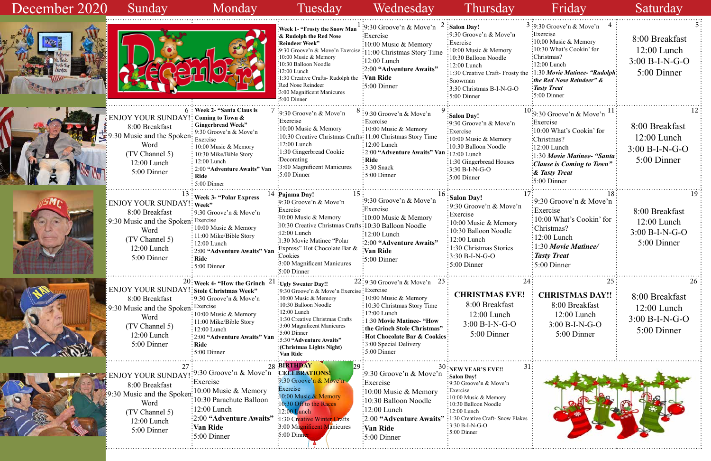|           | 4<br>3:9:30 Groove'n & Move'n<br>Exercise<br>$\frac{10:00 \text{ Music } \& \text{Memory}}$<br>10:30 What's Cookin' for<br>Christmas?<br>12:00 Lunch<br>the :1:30 Movie Matinee- "Rudolph"<br>the Red Nose Reindeer" &<br>Tasty Treat<br>$5:00$ Dinner | 5<br>8:00 Breakfast<br>$12:00$ Lunch<br>3:00 B-I-N-G-O<br>5:00 Dinner    |
|-----------|--------------------------------------------------------------------------------------------------------------------------------------------------------------------------------------------------------------------------------------------------------|--------------------------------------------------------------------------|
|           | $10:9:30$ Groove'n & Move'n<br>11<br><b>Exercise</b><br>10:00 What's Cookin' for<br>:Christmas?<br>$:12:00$ Lunch<br>1:30 Movie Matinee- "Santa"<br>Clause is Coming to Town"<br><b>&amp; Tasty Treat</b><br>$5:00$ Dinner                             | 12<br>8:00 Breakfast<br>$12:00$ Lunch<br>$3:00 B-I-N-G-O$<br>5:00 Dinner |
| 17<br>ı   | 18<br>9:30 Groove'n & Move'n<br>Exercise<br>10:00 What's Cookin' for<br>Christmas?<br>12:00 Lunch<br>1:30 Movie Matinee/<br><b>Tasty Treat</b><br>5:00 Dinner                                                                                          | 19<br>8:00 Breakfast<br>12:00 Lunch<br>$3:00 B-I-N-G-O$<br>5:00 Dinner   |
| 24<br>C!  | 25<br><b>CHRISTMAS DAY!!</b><br>8:00 Breakfast<br>$12:00$ Lunch<br>$3:00 B-I-N-G-O$<br>5:00 Dinner                                                                                                                                                     | 26<br>8:00 Breakfast<br>$12:00$ Lunch<br>$3:00 B-I-N-G-O$<br>5:00 Dinner |
| 31<br>kes |                                                                                                                                                                                                                                                        |                                                                          |

| December 2020 | Sunday                                                                                                                                                      | Monday                                                                                                                                                                                                                                                                                                                                                        | Tuesday                                                                                                                                                                                                                                                                                                                                                                     | Wednesday                                                                                                                                                                                                                                                      | Thursday                                                                                                                                                                                                                                                             | Friday                                                                                                                                                                                                                                                                                                | Saturday                                                           |
|---------------|-------------------------------------------------------------------------------------------------------------------------------------------------------------|---------------------------------------------------------------------------------------------------------------------------------------------------------------------------------------------------------------------------------------------------------------------------------------------------------------------------------------------------------------|-----------------------------------------------------------------------------------------------------------------------------------------------------------------------------------------------------------------------------------------------------------------------------------------------------------------------------------------------------------------------------|----------------------------------------------------------------------------------------------------------------------------------------------------------------------------------------------------------------------------------------------------------------|----------------------------------------------------------------------------------------------------------------------------------------------------------------------------------------------------------------------------------------------------------------------|-------------------------------------------------------------------------------------------------------------------------------------------------------------------------------------------------------------------------------------------------------------------------------------------------------|--------------------------------------------------------------------|
|               |                                                                                                                                                             |                                                                                                                                                                                                                                                                                                                                                               | Week 1- "Frosty the Snow Man <sup>1</sup> :9:30 Groove'n & Move'n <sup>2</sup> : Salon Day!<br><b><i>&amp;</i></b> Rudolph the Red Nose<br><b>Reindeer Week"</b><br>:9:30 Groove'n & Move'n Exercise<br>10:00 Music & Memory<br>10:30 Balloon Noodle<br>12:00 Lunch<br>:1:30 Creative Crafts-Rudolph the<br>Red Nose Reindeer<br>3:00 Magnificent Manicures<br>:5:00 Dinner | Exercise<br>$\frac{10:00 \text{ Music } \& \text{Memory}}$<br>:11:00 Christmas Story Time<br>:12:00 Lunch<br>:2:00 "Adventure Awaits"<br>Van Ride<br>$:5:00$ Dinner                                                                                            | :9:30 Groove'n & Move'n<br>Exercise<br>$\frac{1}{2}10:00$ Music & Memory<br>:10:30 Balloon Noodle<br>$: 12:00$ Lunch<br>1:30 Creative Craft-Frosty the<br>: Snowman<br>$\frac{1}{2}$ :30 Christmas B-I-N-G-O<br>$\frac{1}{2}$ :5:00 Dinner                           | $3:9:30$ Groove'n & Move'n<br>Exercise<br>$\frac{1}{2}10:00$ Music & Memory<br>:10:30 What's Cookin' for<br>Christmas?<br>$\frac{1}{2}12:00$ Lunch<br>$\cdot$ 1:30 Movie Matinee- "Rudolph $\cdot$<br>$\therefore$ the Red Nose Reindeer" &<br>$\frac{1}{2}$ Tasty Treat<br>$\frac{1}{2}$ 5:00 Dinner | 8:00 Breakfast<br>12:00 Lunch<br>$3:00 B-I-N-G-O$<br>5:00 Dinner   |
|               | ENJOY YOUR SUNDAY!: Coming to Town &<br>8:00 Breakfast<br>.30 Music and the Spoken: Exercise<br>Word<br>(TV Channel 5)<br>$12:00$ Lunch<br>5:00 Dinner      | 6 : Week 2- "Santa Claus is<br>: Gingerbread Week"<br>$\frac{1}{2}$ 9:30 Groove'n & Move'n<br>10:00 Music & Memory<br>$\frac{1}{2}$ 10:30 Mike/Bible Story<br>$\div 12:00$ Lunch<br>2:00 "Adventure Awaits" Van<br>: Ride<br>$: 5:00$ Dinner                                                                                                                  | :9:30 Groove'n & Move'n<br>Exercise:<br>$\frac{1}{2}10:00$ Music & Memory<br>:10:30 Creative Christmas Crafts: 11:00 Christmas Story Time<br>$:12:00$ Lunch<br>:1:30 Gingerbread Cookie<br>:Decorating<br>3:00 Magnificent Manicures<br>$:5:00$ Dinner                                                                                                                      | $\frac{1}{2}$ 9:30 Groove'n & Move'n<br>: Exercise<br>: 10:00 Music & Memory<br>: 12:00 Lunch<br>$\frac{1}{2}$ 2:00 "Adventure Awaits" Van $\frac{1}{2}$ 12:00 Lunch<br><b>Ride</b><br>$:3:30$ Snack<br>$\div$ 5:00 Dinner                                     | Salon Day!<br>:9:30 Groove'n & Move'n<br>Exercise<br>$10:00$ Music & Memory<br>:10:30 Balloon Noodle<br>$\frac{1}{2}$ 1:30 Gingerbread Houses<br>$\frac{1}{2}$ :30 B-I-N-G-O<br>$:5:00$ Dinner                                                                       | $^{10}$ :9:30 Groove'n & Move'n $^{11}$<br>Exercise<br>:10:00 What's Cookin' for<br>:Christmas?<br>$:12:00$ Lunch<br>1:30 Movie Matinee- "Santa:<br>Clause is Coming to Town"<br>& Tasty Treat<br>$\cdot 5:00$ Dinner                                                                                 | 8:00 Breakfast<br>$12:00$ Lunch<br>$3:00 B-I-N-G-O$<br>5:00 Dinner |
|               | ENJOY YOUR SUNDAY!: Week"<br>8:00 Breakfast<br>:9:30 Music and the Spoken: Exercise<br>Word<br>(TV Channel 5)<br>12:00 Lunch<br>5:00 Dinner                 | $^{13}$ : Week 3- "Polar Express<br>$\frac{1}{2}$ 9:30 Groove'n & Move'n<br>$\frac{1}{2}10:00$ Music & Memory<br>$\frac{1}{2}$ 11:00 Mike/Bible Story<br>$\frac{1}{2}$ 12:00 Lunch<br>: 2:00 "Adventure Awaits" Van<br>: Ride<br>$\frac{1}{2}$ 5:00 Dinner                                                                                                    | 14 Pajama Day!<br>$\cdot 9:30$ Groove'n & Move'n<br>:Exercise<br>$\therefore$ 10:00 Music & Memory<br>:10:30 Creative Christmas Crafts: 10:30 Balloon Noodle<br>$:12:00$ Lunch<br>:1:30 Movie Matinee "Polar<br>Express" Hot Chocolate Bar &<br>:Cookies<br>:3:00 Magnificent Manicures<br>$:5:00$ Dinner                                                                   | $\frac{1}{2}$ 9:30 Groove'n & Move'n<br>:Exercise<br>:10:00 Music & Memory<br>$\frac{1}{2}12:00$ Lunch<br>:2:00 "Adventure Awaits"<br>Van Ride<br>$\frac{1}{2}$ :5:00 Dinner                                                                                   | $16:$ Salon Day!<br>:9:30 Groove'n & Move'n<br>Exercise<br>$\approx 10:00$ Music & Memory<br>$\frac{1}{2}$ 10:30 Balloon Noodle<br>12:00 Lunch<br>:1:30 Christmas Stories<br>$:3:30 B-I-N-G-O$<br>$:5:00$ Dinner                                                     | $\frac{1}{2}$ 9:30 Groove'n & Move'n<br>Exercise:<br>$\frac{1}{2}10:00$ What's Cookin' for<br>:Christmas?<br>$\frac{1}{2}12:00$ Lunch<br>1:30 Movie Matinee/<br><i><b>Tasty Treat</b></i><br>$\frac{1}{2}$ 5:00 Dinner                                                                                | 8:00 Breakfast<br>12:00 Lunch<br>$3:00 B-I-N-G-O$<br>5:00 Dinner   |
|               | ENJOY YOUR SUNDAY! : Stole Christmas Week"<br>8:00 Breakfast<br>9:30 Music and the Spoken: Exercise<br>Word<br>(TV Channel 5)<br>12:00 Lunch<br>5:00 Dinner | $20\frac{1}{2}$ Week 4- "How the Grinch $21\frac{1}{2}$ Ugly Sweater Day!!<br>$\frac{1}{2}$ 9:30 Groove'n & Move'n<br>$\frac{1}{2}10:00$ Music & Memory<br>$\frac{1}{2}$ 11:00 Mike/Bible Story<br>$\frac{1}{2}$ 12:00 Lunch<br>$\frac{1}{2}$ 2:00 "Adventure Awaits" Van $\frac{1}{2}$ 5:30 "Adventure Awaits"<br>$\vdots$ Ride<br>$\frac{1}{2}$ 5:00 Dinner | :9:30 Groove'n & Move'n Exercise : Exercise<br>$\frac{10:00 \text{ Music } \& \text{Memory}}$<br>:10:30 Balloon Noodle<br>:12:00 Lunch<br>$\frac{1}{2}$ 1:30 Creative Christmas Crafts<br>:3:00 Magnificent Manicures<br>$:5:00$ Dinner<br>: (Christmas Lights Night)<br>Van Ride                                                                                           | 22:9:30 Groove'n & Move'n 23:<br>$\therefore$ 10:00 Music & Memory<br>: 10:30 Christmas Story Time<br>: 12:00 Lunch<br>: 1:30 Movie Matinee- "How<br>the Grinch Stole Christmas"<br>: Hot Chocolate Bar & Cookies:<br>:3:00 Special Delivery<br>$:5:00$ Dinner | <b>CHRISTMAS EVE!</b><br>8:00 Breakfast<br>$12:00$ Lunch<br>$3:00 B-I-N-G-O$<br>5:00 Dinner                                                                                                                                                                          | 25.<br><b>CHRISTMAS DAY!!</b><br>8:00 Breakfast<br>$12:00$ Lunch<br>$3:00 B-I-N-G-O$<br>5:00 Dinner                                                                                                                                                                                                   | 8:00 Breakfast<br>$12:00$ Lunch<br>$3:00 B-I-N-G-O$<br>5:00 Dinner |
|               | ENJOY YOUR SUNDAY<br>8:00 Breakfast<br>Word<br>(TV Channel 5)<br>12:00 Lunch<br>5:00 Dinner                                                                 | :9:30 Groove'n & Move'n CELEBRATIONS!<br>Exercise<br>Music and the Spoken <sup>: 10:00</sup> Music & Memory<br>:10:30 Parachute Balloon<br>$:12:00$ Lunch<br>:2:00 "Adventure Awaits"<br>Van Ride<br>$:5:00$ Dinner                                                                                                                                           | 28 BIRTHDAY<br>$.9:30$ Groove'n $\&$ Move'n.<br><b>Exercise</b><br>:10:00 Music $&$ Memory<br>10:30 Off to the Races<br>:12:00 Lunch<br>:1:30 Creative Winter Crafts<br>3:00 Magnificent Manicures<br>$\cdot 5:00$ Dinne                                                                                                                                                    | :9:30 Groove'n $\&$ Move'n<br>Exercise<br>:10:00 Music $&$ Memory<br>:10:30 Balloon Noodle<br>$\frac{12:00}{2}$ Lunch<br>:2:00 "Adventure Awaits"<br>Van Ride<br>$:5:00$ Dinner                                                                                | 31 <sub>1</sub><br>$130$ : new year's eve!!<br>Salon Day!<br>:9:30 Groove'n & Move'n<br>: Exercise<br>:10:00 Music & Memory<br>10:30 Balloon Noodle<br>:12:00 Lunch<br>:1:30 Creative Craft- Snow Flakes<br>$\frac{1}{2}3:30 B-I-N-G-O$<br>$\frac{1}{2}$ 5:00 Dinner |                                                                                                                                                                                                                                                                                                       |                                                                    |